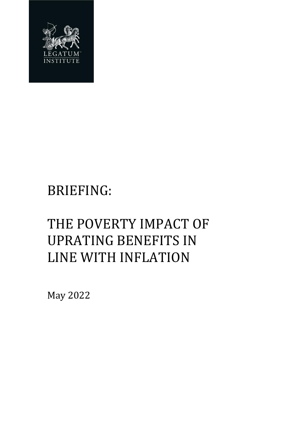

# BRIEFING:

# THE POVERTY IMPACT OF UPRATING BENEFITS IN LINE WITH INFLATION

May 2022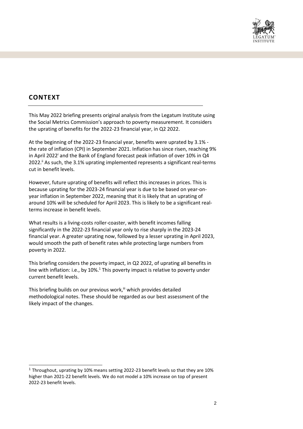

# **CONTEXT**

This May 2022 briefing presents original analysis from the Legatum Institute using the Social Metrics Commission's approach to poverty measurement. It considers the uprating of benefits for the 2022-23 financial year, in Q2 2022.

At the beginning of the 2022-23 financial year, benefits were uprated by 3.1% the rate of inflation (CPI) in September 2021. Inflation has since risen, reaching 9% in April 2022<sup>i</sup> and the Bank of England forecast peak inflation of over 10% in  $Q4$ 2022.<sup>ii</sup> As such, the 3.1% uprating implemented represents a significant real-terms cut in benefit levels.

However, future uprating of benefits will reflect this increases in prices. This is because uprating for the 2023-24 financial year is due to be based on year-onyear inflation in September 2022, meaning that it is likely that an uprating of around 10% will be scheduled for April 2023. This is likely to be a significant realterms increase in benefit levels.

What results is a living-costs roller-coaster, with benefit incomes falling significantly in the 2022-23 financial year only to rise sharply in the 2023-24 financial year. A greater uprating now, followed by a lesser uprating in April 2023, would smooth the path of benefit rates while protecting large numbers from poverty in 2022.

This briefing considers the poverty impact, in Q2 2022, of uprating all benefits in line with inflation: i.e., by  $10\%$ .<sup>1</sup> This poverty impact is relative to poverty under current benefit levels.

This briefing builds on our previous work,<sup>iii</sup> which provides detailed methodological notes. These should be regarded as our best assessment of the likely impact of the changes.

<sup>1</sup> Throughout, uprating by 10% means setting 2022-23 benefit levels so that they are 10% higher than 2021-22 benefit levels. We do not model a 10% increase on top of present 2022-23 benefit levels.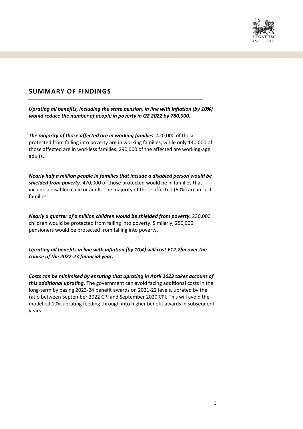

### **SUMMARY OF FINDINGS**

*Uprating all benefits, including the state pension, in line with inflation (by 10%) would reduce the number of people in poverty in Q2 2022 by 780,000.*

*The majority of those affected are in working families.* 420,000 of those protected from falling into poverty are in working families, while only 140,000 of those affected are in workless families. 290,000 of the affected are working-age adults.

*Nearly half a million people in families that include a disabled person would be shielded from poverty.* 470,000 of those protected would be in families that include a disabled child or adult. The majority of those affected (60%) are in such families.

*Nearly a quarter of a million children would be shielded from poverty.* 230,000 children would be protected from falling into poverty. Similarly, 250,000 pensioners would be protected from falling into poverty.

*Uprating all benefits in line with inflation (by 10%) will cost £12.7bn over the course of the 2022-23 financial year.* 

*Costs can be minimised by ensuring that uprating in April 2023 takes account of this additional uprating.* The government can avoid facing additional costs in the long-term by basing 2023-24 benefit awards on 2021-22 levels, uprated by the ratio between September 2022 CPI and September 2020 CPI. This will avoid the modelled 10% uprating feeding through into higher benefit awards in subsequent years.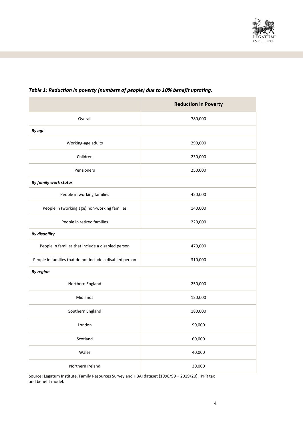

# **Reduction in Poverty** Overall 780,000 *By age* Working-age adults 290,000 Children 230,000 Pensioners 250,000 *By family work status* People in working families and the set of the 420,000 and 420,000 and 420,000 and 420,000 and 420,000 and 420,000 and 420,000 and 420,000 and 420,000 and 420,000 and 420,000 and 420,000 and 420,000 and 420,000 and 420,000 People in (working age) non-working families and the state of 140,000 People in retired families and the contract of the 220,000 method of the 220,000 method of the 220,000 method of the 220,000 method of the 220,000 method of the 220,000 method of the 220,000 method of the 220,000 method of *By disability* People in families that include a disabled person and the state of 470,000 People in families that do not include a disabled person 310,000 *By region* Northern England 250,000 Midlands 120,000 Southern England 180,000 London 90,000 Scotland 60,000 Wales 40,000 Northern Ireland 30,000

#### *Table 1: Reduction in poverty (numbers of people) due to 10% benefit uprating.*

Source: Legatum Institute, Family Resources Survey and HBAI dataset (1998/99 – 2019/20), IPPR tax and benefit model.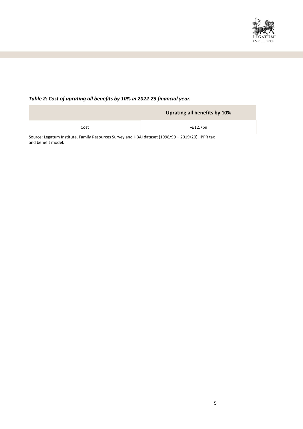

### *Table 2: Cost of uprating all benefits by 10% in 2022-23 financial year.*

|      | Uprating all benefits by 10% |
|------|------------------------------|
| Cost | +£12.7bn                     |

Source: Legatum Institute, Family Resources Survey and HBAI dataset (1998/99 – 2019/20), IPPR tax and benefit model.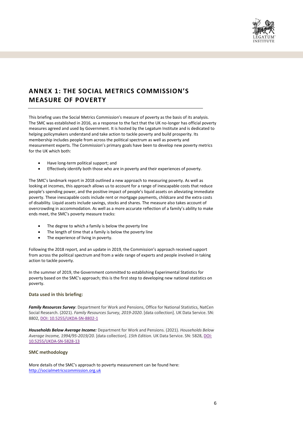

## **ANNEX 1: THE SOCIAL METRICS COMMISSION'S MEASURE OF POVERTY**

This briefing uses the Social Metrics Commission's measure of poverty as the basis of its analysis. The SMC was established in 2016, as a response to the fact that the UK no-longer has official poverty measures agreed and used by Government. It is hosted by the Legatum Institute and is dedicated to helping policymakers understand and take action to tackle poverty and build prosperity. Its membership includes people from across the political spectrum as well as poverty and measurement experts. The Commission's primary goals have been to develop new poverty metrics for the UK which both:

- Have long-term political support; and
- Effectively identify both those who are in poverty and their experiences of poverty.

The SMC's landmark report in 2018 outlined a new approach to measuring poverty. As well as looking at incomes, this approach allows us to account for a range of inescapable costs that reduce people's spending power, and the positive impact of people's liquid assets on alleviating immediate poverty. These inescapable costs include rent or mortgage payments, childcare and the extra costs of disability. Liquid assets include savings, stocks and shares. The measure also takes account of overcrowding in accommodation. As well as a more accurate reflection of a family's ability to make ends meet, the SMC's poverty measure tracks:

- The degree to which a family is below the poverty line
- The length of time that a family is below the poverty line
- The experience of living in poverty.

Following the 2018 report, and an update in 2019, the Commission's approach received support from across the political spectrum and from a wide range of experts and people involved in taking action to tackle poverty.

In the summer of 2019, the Government committed to establishing Experimental Statistics for poverty based on the SMC's approach; this is the first step to developing new national statistics on poverty.

#### **Data used in this briefing:**

*Family Resources Survey*: Department for Work and Pensions, Office for National Statistics, NatCen Social Research. (2021). *Family Resources Survey, 2019-2020*. [data collection]. UK Data Service. SN: 8802, [DOI: 10.5255/UKDA-SN-8802-1](http://doi.org/10.5255/UKDA-SN-8802-1)

*Households Below Average Income:* Department for Work and Pensions. (2021). *Households Below Average Income, 1994/95-2019/20*. [data collection]. *15th Edition.* UK Data Service. SN: 5828, [DOI:](http://doi.org/10.5255/UKDA-SN-5828-13)  [10.5255/UKDA-SN-5828-13](http://doi.org/10.5255/UKDA-SN-5828-13)

#### **SMC methodology**

More details of the SMC's approach to poverty measurement can be found here: [http://socialmetricscommission.org.uk](http://socialmetricscommission.org.uk/)